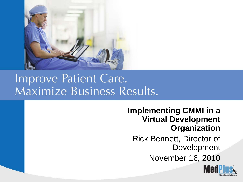

#### Improve Patient Care. Maximize Business Results.

#### **Implementing CMMI in a Virtual Development Organization**

Rick Bennett, Director of Development

November 16, 2010

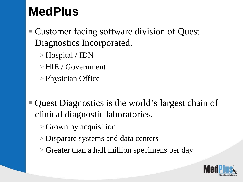### **MedPlus**

- Customer facing software division of Quest Diagnostics Incorporated.
	- > Hospital / IDN
	- > HIE / Government
	- > Physician Office
- Quest Diagnostics is the world's largest chain of clinical diagnostic laboratories.
	- > Grown by acquisition
	- > Disparate systems and data centers
	- > Greater than a half million specimens per day

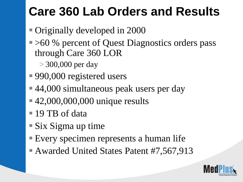# **Care 360 Lab Orders and Results**

- Originally developed in 2000
- > 60 % percent of Quest Diagnostics orders pass through Care 360 LOR
	- > 300,000 per day
- 990,000 registered users
- ■44,000 simultaneous peak users per day
- 42,000,000,000 unique results
- 19 TB of data
- $\blacksquare$  Six Sigma up time
- Every specimen represents a human life
- Awarded United States Patent #7,567,913

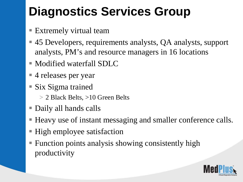# **Diagnostics Services Group**

- Extremely virtual team
- 45 Developers, requirements analysts, QA analysts, support analysts, PM's and resource managers in 16 locations
- Modified waterfall SDLC
- 4 releases per year
- Six Sigma trained
	- > 2 Black Belts, >10 Green Belts
- Daily all hands calls
- Heavy use of instant messaging and smaller conference calls.
- High employee satisfaction
- **Function points analysis showing consistently high** productivity

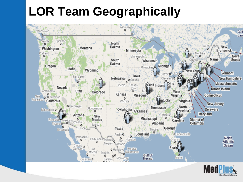### **LOR Team Geographically**



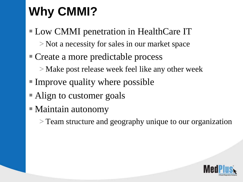# **Why CMMI?**

- Low CMMI penetration in HealthCare IT > Not a necessity for sales in our market space
- Create a more predictable process
	- > Make post release week feel like any other week
- Improve quality where possible
- Align to customer goals
- Maintain autonomy
	- > Team structure and geography unique to our organization

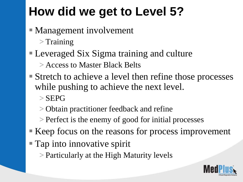# **How did we get to Level 5?**

- Management involvement
	- $\mathbf{r}$  Training
- Leveraged Six Sigma training and culture
	- > Access to Master Black Belts
- Stretch to achieve a level then refine those processes while pushing to achieve the next level.
	- $>$  SEPG
	- > Obtain practitioner feedback and refine
	- > Perfect is the enemy of good for initial processes
- Keep focus on the reasons for process improvement
- **Tap into innovative spirit** 
	- > Particularly at the High Maturity levels

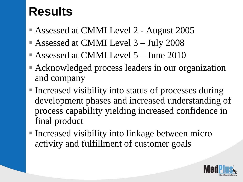### **Results**

- Assessed at CMMI Level 2 August 2005
- Assessed at CMMI Level 3 July 2008
- Assessed at CMMI Level 5 June 2010
- Acknowledged process leaders in our organization and company
- Increased visibility into status of processes during development phases and increased understanding of process capability yielding increased confidence in final product
- Increased visibility into linkage between micro activity and fulfillment of customer goals

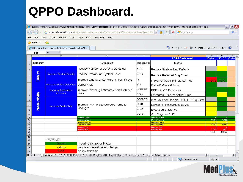#### **QPPO Dashboard.**

|                                       |                                                      |                                                    | $\Theta$ https://clarity.gdx.com/niku/app?action=dms.viewFile&fileId=11451058&fileName=CMMI Dashboard 20 - Windows Internet Explorer pro |  |                                           |  | $\begin{bmatrix} - & \mathbf{e} \end{bmatrix}$ |
|---------------------------------------|------------------------------------------------------|----------------------------------------------------|------------------------------------------------------------------------------------------------------------------------------------------|--|-------------------------------------------|--|------------------------------------------------|
|                                       |                                                      |                                                    |                                                                                                                                          |  |                                           |  | $\alpha$                                       |
| File Edit                             |                                                      | View Insert Format Tools Data Go-To Favorites Help |                                                                                                                                          |  |                                           |  |                                                |
| $\frac{1}{2}$ Favorites $\frac{1}{2}$ |                                                      |                                                    |                                                                                                                                          |  |                                           |  |                                                |
|                                       | https://clarity.qdx.com/niku/app?action=dms.viewFile |                                                    |                                                                                                                                          |  | ✿ · ጪ · □ 臝 · Page · Safety · Tools · ❷ · |  |                                                |
| E35                                   |                                                      |                                                    |                                                                                                                                          |  |                                           |  |                                                |
|                                       | в                                                    |                                                    |                                                                                                                                          |  |                                           |  |                                                |

| $\overline{1}$                                                                                                    | c.           |                                  |                                                    |                        | <b>LO&amp;R Dashboard</b>                     | v2010.1 v2010.2 v2010. |             |               |  |  |  |  |  |
|-------------------------------------------------------------------------------------------------------------------|--------------|----------------------------------|----------------------------------------------------|------------------------|-----------------------------------------------|------------------------|-------------|---------------|--|--|--|--|--|
| $\overline{2}$                                                                                                    | Category     |                                  | Component                                          | <b>Baseline ID</b>     | Metric                                        |                        |             |               |  |  |  |  |  |
| 3                                                                                                                 |              |                                  | Reduce Number of Defects Detected                  | ST <sub>01</sub>       | Reduce System Test Defects                    |                        |             |               |  |  |  |  |  |
| 4                                                                                                                 | Quality      | <b>Improve Product Quality</b>   | Reduce Rework on System Test                       | ST <sub>06</sub>       | Reduce Rejected Bug Fixes                     |                        |             |               |  |  |  |  |  |
| 5                                                                                                                 |              |                                  | Improve Quality of Software in Test Phase          | lQI.                   | Implement Quality Indicator Tool              | 54.9                   | 85.0        |               |  |  |  |  |  |
| $\overline{7}$                                                                                                    |              | <b>Increase Defect Detection</b> | Defect Yield                                       | ST <sub>11</sub>       | # of Defects per CTQ                          |                        |             |               |  |  |  |  |  |
| 8                                                                                                                 |              | <b>Improve Estimation</b>        | Improve Planning Estimates from Historical<br>Data | LOEREP                 | REP vs LOE Estimates                          |                        |             |               |  |  |  |  |  |
| 9                                                                                                                 |              | <b>Accuracy</b>                  |                                                    | PP <sub>01</sub>       | Estimated Time vs Actual Time                 |                        |             |               |  |  |  |  |  |
| 10 <sub>10</sub>                                                                                                  | Productivity |                                  |                                                    | <b>DSCUTFIX</b>        | # of Days for Design, CUT, ST Bug Fixes       |                        |             |               |  |  |  |  |  |
| 11                                                                                                                |              | <b>Improve Productivity</b>      | Improve Planning to Support Portfolio<br>Changes   | FIX01                  | Defect Fix Productivity by 2%                 |                        |             |               |  |  |  |  |  |
| 12                                                                                                                |              |                                  |                                                    | ST <sub>02</sub>       | Execution Efficiency                          |                        |             |               |  |  |  |  |  |
| 13                                                                                                                |              |                                  |                                                    | CUT01                  | # of Days for CUT                             |                        |             |               |  |  |  |  |  |
| 14                                                                                                                |              |                                  | Number Green                                       |                        | Number Green                                  |                        | 6           |               |  |  |  |  |  |
| 15                                                                                                                |              |                                  | Percent Green<br><b>Number Yellow</b>              |                        | Percent Green                                 | 50.0%                  | 75.0%       |               |  |  |  |  |  |
| 16<br>17                                                                                                          |              |                                  | Percent Yellow                                     |                        | <b>Number Yellow</b><br><b>Percent Yellow</b> | 37.5%                  | 25.0%       |               |  |  |  |  |  |
| 18                                                                                                                |              |                                  | Number Red                                         |                        | Number Red                                    |                        | n.          |               |  |  |  |  |  |
| 19                                                                                                                |              |                                  | Percent Red                                        |                        | Percent Red                                   | 12.5%                  | 0.0%        |               |  |  |  |  |  |
| 20                                                                                                                |              |                                  |                                                    |                        |                                               | 100.0%                 | 100.0%      |               |  |  |  |  |  |
| 21<br>22                                                                                                          |              |                                  |                                                    |                        |                                               |                        |             |               |  |  |  |  |  |
| 23                                                                                                                |              | LEGEND:                          |                                                    |                        |                                               |                        |             |               |  |  |  |  |  |
| 24                                                                                                                |              | Green                            | meeting target or better                           |                        |                                               |                        |             |               |  |  |  |  |  |
| 25                                                                                                                |              | Yellow                           | between baseline and target                        |                        |                                               |                        |             |               |  |  |  |  |  |
| 26                                                                                                                |              | Red.                             | below baselne                                      |                        |                                               |                        |             |               |  |  |  |  |  |
| H Summary / PP01 / LOEREP / FIX01 / CUT01 / DSCUTFIX / ST01 / ST02 / ST06 / ST11 / QI / Color Chart /<br>$14 - 4$ |              |                                  |                                                    |                        |                                               |                        | <b>IIII</b> | $\rightarrow$ |  |  |  |  |  |
|                                                                                                                   |              |                                  |                                                    | Unknown Zone<br>$40 -$ |                                               |                        |             |               |  |  |  |  |  |